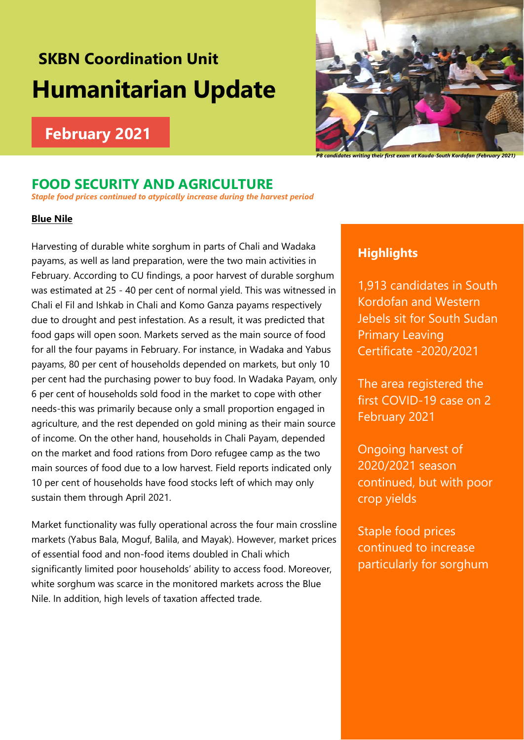# **SKBN Coordination Unit Humanitarian Update**

## **February 2021**



## **FOOD SECURITY AND AGRICULTURE**

*Staple food prices continued to atypically increase during the harvest period*

#### **Blue Nile**

Harvesting of durable white sorghum in parts of Chali and Wadaka payams, as well as land preparation, were the two main activities in February. According to CU findings, a poor harvest of durable sorghum was estimated at 25 - 40 per cent of normal yield. This was witnessed in Chali el Fil and Ishkab in Chali and Komo Ganza payams respectively due to drought and pest infestation. As a result, it was predicted that food gaps will open soon. Markets served as the main source of food for all the four payams in February. For instance, in Wadaka and Yabus payams, 80 per cent of households depended on markets, but only 10 per cent had the purchasing power to buy food. In Wadaka Payam, only 6 per cent of households sold food in the market to cope with other needs-this was primarily because only a small proportion engaged in agriculture, and the rest depended on gold mining as their main source of income. On the other hand, households in Chali Payam, depended on the market and food rations from Doro refugee camp as the two main sources of food due to a low harvest. Field reports indicated only 10 per cent of households have food stocks left of which may only sustain them through April 2021.

Market functionality was fully operational across the four main crossline markets (Yabus Bala, Moguf, Balila, and Mayak). However, market prices of essential food and non-food items doubled in Chali which significantly limited poor households' ability to access food. Moreover, white sorghum was scarce in the monitored markets across the Blue Nile. In addition, high levels of taxation affected trade.

### **Highlights**

1,913 candidates in South Kordofan and Western Jebels sit for South Sudan Primary Leaving Certificate -2020/2021

The area registered the first COVID-19 case on 2 February 2021

Ongoing harvest of 2020/2021 season continued, but with poor crop yields

Staple food prices continued to increase particularly for sorghum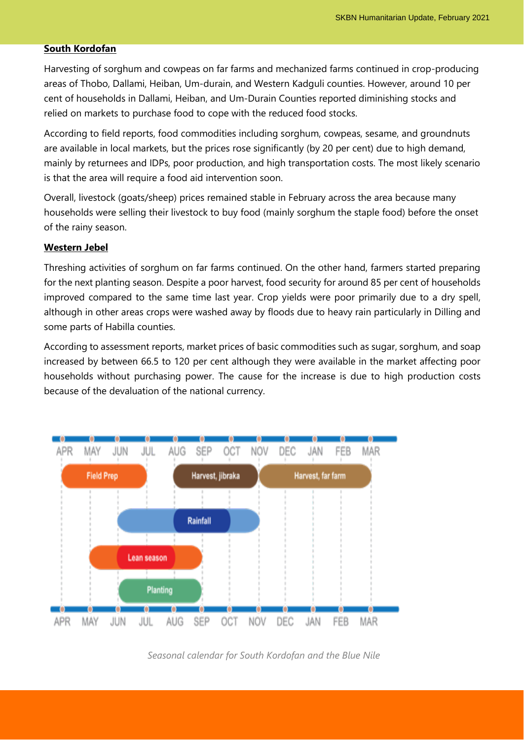#### **South Kordofan**

Harvesting of sorghum and cowpeas on far farms and mechanized farms continued in crop-producing areas of Thobo, Dallami, Heiban, Um-durain, and Western Kadguli counties. However, around 10 per cent of households in Dallami, Heiban, and Um-Durain Counties reported diminishing stocks and relied on markets to purchase food to cope with the reduced food stocks.

According to field reports, food commodities including sorghum, cowpeas, sesame, and groundnuts are available in local markets, but the prices rose significantly (by 20 per cent) due to high demand, mainly by returnees and IDPs, poor production, and high transportation costs. The most likely scenario is that the area will require a food aid intervention soon.

Overall, livestock (goats/sheep) prices remained stable in February across the area because many households were selling their livestock to buy food (mainly sorghum the staple food) before the onset of the rainy season.

#### **Western Jebel**

Threshing activities of sorghum on far farms continued. On the other hand, farmers started preparing for the next planting season. Despite a poor harvest, food security for around 85 per cent of households improved compared to the same time last year. Crop yields were poor primarily due to a dry spell, although in other areas crops were washed away by floods due to heavy rain particularly in Dilling and some parts of Habilla counties.

According to assessment reports, market prices of basic commodities such as sugar, sorghum, and soap increased by between 66.5 to 120 per cent although they were available in the market affecting poor households without purchasing power. The cause for the increase is due to high production costs because of the devaluation of the national currency.



*Seasonal calendar for South Kordofan and the Blue Nile*

2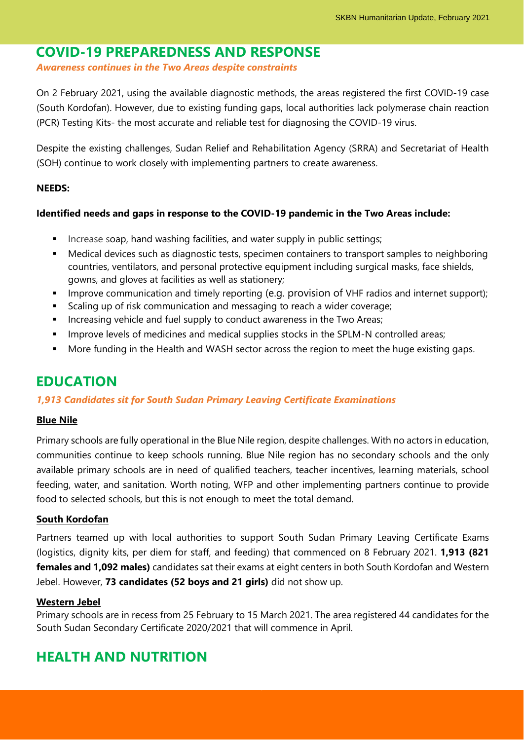## **COVID-19 PREPAREDNESS AND RESPONSE**

*Awareness continues in the Two Areas despite constraints*

On 2 February 2021, using the available diagnostic methods, the areas registered the first COVID-19 case (South Kordofan). However, due to existing funding gaps, local authorities lack polymerase chain reaction (PCR) Testing Kits- the most accurate and reliable test for diagnosing the COVID-19 virus.

Despite the existing challenges, Sudan Relief and Rehabilitation Agency (SRRA) and Secretariat of Health (SOH) continue to work closely with implementing partners to create awareness.

#### **NEEDS:**

#### **Identified needs and gaps in response to the COVID-19 pandemic in the Two Areas include:**

- **EXEDENT** Increase soap, hand washing facilities, and water supply in public settings;
- Medical devices such as diagnostic tests, specimen containers to transport samples to neighboring countries, ventilators, and personal protective equipment including surgical masks, face shields, gowns, and gloves at facilities as well as stationery;
- **·** Improve communication and timely reporting (e.g. provision of VHF radios and internet support);
- Scaling up of risk communication and messaging to reach a wider coverage;
- **EXEDENT Increasing vehicle and fuel supply to conduct awareness in the Two Areas;**
- **■** Improve levels of medicines and medical supplies stocks in the SPLM-N controlled areas;
- More funding in the Health and WASH sector across the region to meet the huge existing gaps.

## **EDUCATION**

#### *1,913 Candidates sit for South Sudan Primary Leaving Certificate Examinations*

#### **Blue Nile**

Primary schools are fully operational in the Blue Nile region, despite challenges. With no actors in education, communities continue to keep schools running. Blue Nile region has no secondary schools and the only available primary schools are in need of qualified teachers, teacher incentives, learning materials, school feeding, water, and sanitation. Worth noting, WFP and other implementing partners continue to provide food to selected schools, but this is not enough to meet the total demand.

#### **South Kordofan**

Partners teamed up with local authorities to support South Sudan Primary Leaving Certificate Exams (logistics, dignity kits, per diem for staff, and feeding) that commenced on 8 February 2021. **1,913 (821 females and 1,092 males)** candidates sat their exams at eight centers in both South Kordofan and Western Jebel. However, **73 candidates (52 boys and 21 girls)** did not show up.

#### **Western Jebel**

Primary schools are in recess from 25 February to 15 March 2021. The area registered 44 candidates for the South Sudan Secondary Certificate 2020/2021 that will commence in April.

3

## **HEALTH AND NUTRITION**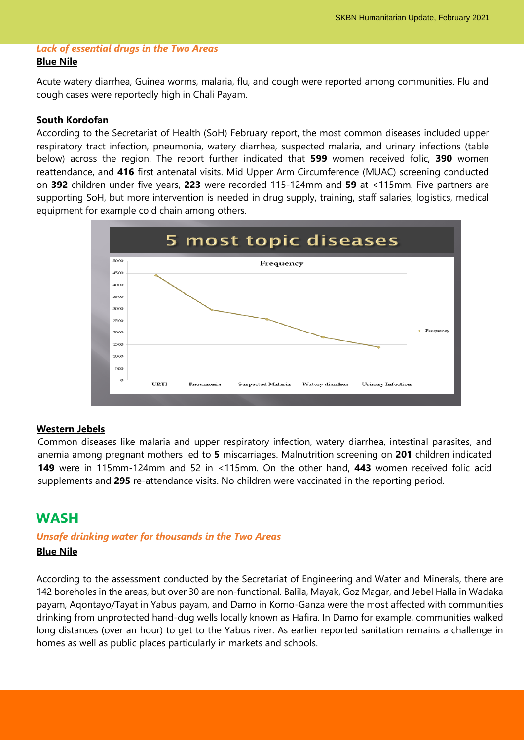#### *Lack of essential drugs in the Two Areas* **Blue Nile**

Acute watery diarrhea, Guinea worms, malaria, flu, and cough were reported among communities. Flu and cough cases were reportedly high in Chali Payam.

#### **South Kordofan**

According to the Secretariat of Health (SoH) February report, the most common diseases included upper respiratory tract infection, pneumonia, watery diarrhea, suspected malaria, and urinary infections (table below) across the region. The report further indicated that **599** women received folic, **390** women reattendance, and **416** first antenatal visits. Mid Upper Arm Circumference (MUAC) screening conducted on **392** children under five years, **223** were recorded 115-124mm and **59** at <115mm. Five partners are supporting SoH, but more intervention is needed in drug supply, training, staff salaries, logistics, medical equipment for example cold chain among others.



#### **Western Jebels**

Common diseases like malaria and upper respiratory infection, watery diarrhea, intestinal parasites, and anemia among pregnant mothers led to **5** miscarriages. Malnutrition screening on **201** children indicated **149** were in 115mm-124mm and 52 in <115mm. On the other hand, **443** women received folic acid supplements and **295** re-attendance visits. No children were vaccinated in the reporting period.

## **WASH**

#### *Unsafe drinking water for thousands in the Two Areas*

#### **Blue Nile**

According to the assessment conducted by the Secretariat of Engineering and Water and Minerals, there are 142 boreholes in the areas, but over 30 are non-functional. Balila, Mayak, Goz Magar, and Jebel Halla in Wadaka payam, Aqontayo/Tayat in Yabus payam, and Damo in Komo-Ganza were the most affected with communities drinking from unprotected hand-dug wells locally known as Hafira. In Damo for example, communities walked long distances (over an hour) to get to the Yabus river. As earlier reported sanitation remains a challenge in homes as well as public places particularly in markets and schools.

4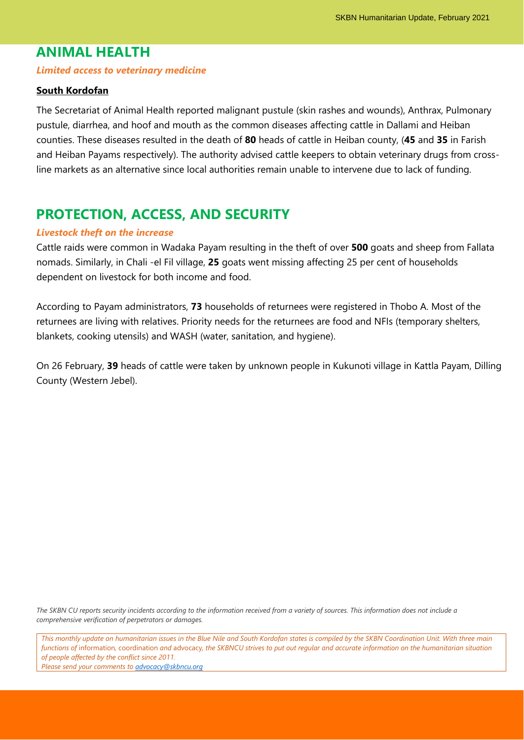## **ANIMAL HEALTH**

#### *Limited access to veterinary medicine*

#### **South Kordofan**

The Secretariat of Animal Health reported malignant pustule (skin rashes and wounds), Anthrax, Pulmonary pustule, diarrhea, and hoof and mouth as the common diseases affecting cattle in Dallami and Heiban counties. These diseases resulted in the death of **80** heads of cattle in Heiban county, (**45** and **35** in Farish and Heiban Payams respectively). The authority advised cattle keepers to obtain veterinary drugs from crossline markets as an alternative since local authorities remain unable to intervene due to lack of funding.

## **PROTECTION, ACCESS, AND SECURITY**

#### *Livestock theft on the increase*

Cattle raids were common in Wadaka Payam resulting in the theft of over **500** goats and sheep from Fallata nomads. Similarly, in Chali -el Fil village, **25** goats went missing affecting 25 per cent of households dependent on livestock for both income and food.

According to Payam administrators, **73** households of returnees were registered in Thobo A. Most of the returnees are living with relatives. Priority needs for the returnees are food and NFIs (temporary shelters, blankets, cooking utensils) and WASH (water, sanitation, and hygiene).

On 26 February, **39** heads of cattle were taken by unknown people in Kukunoti village in Kattla Payam, Dilling County (Western Jebel).

*The SKBN CU reports security incidents according to the information received from a variety of sources. This information does not include a comprehensive verification of perpetrators or damages.*

*This monthly update on humanitarian issues in the Blue Nile and South Kordofan states is compiled by the SKBN Coordination Unit. With three main functions of* information*,* coordination *and* advocacy*, the SKBNCU strives to put out regular and accurate information on the humanitarian situation of people affected by the conflict since 2011.*

5

*Please send your comments to [advocacy@skbncu.org](mailto:advocacy@skbncu.org)*